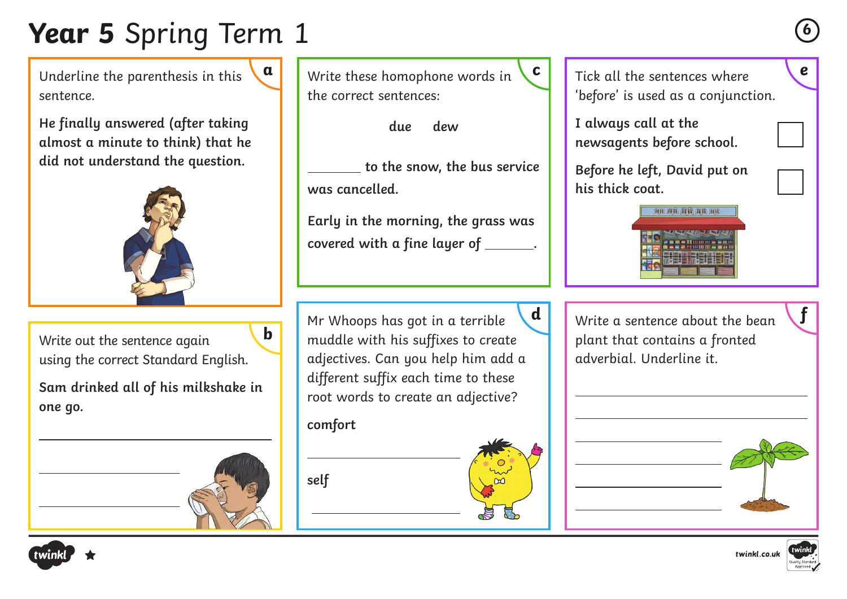# **Year 5** Spring Term 1 **<sup>6</sup>**

Underline the parenthesis in this sentence.

**He finally answered (after taking almost a minute to think) that he did not understand the question.**



Write out the sentence again using the correct Standard English.

**Sam drinked all of his milkshake in one go.**



**b**

**a** Write these homophone words in **c** Tick all the sentences where **e** the correct sentences:

**due dew**

 **to the snow, the bus service was cancelled.**

**Early in the morning, the grass was covered with a fine layer of .**

Mr Whoops has got in a terrible muddle with his suffixes to create adjectives. Can you help him add a different suffix each time to these root words to create an adjective?

#### **comfort**

**self** 

Tick all the sentences where 'before' is used as a conjunction.

I always call at the **newsagents before school.**

**Before he left, David put on his thick coat.**



Write a sentence about the bean **d f** plant that contains a fronted adverbial. Underline it.



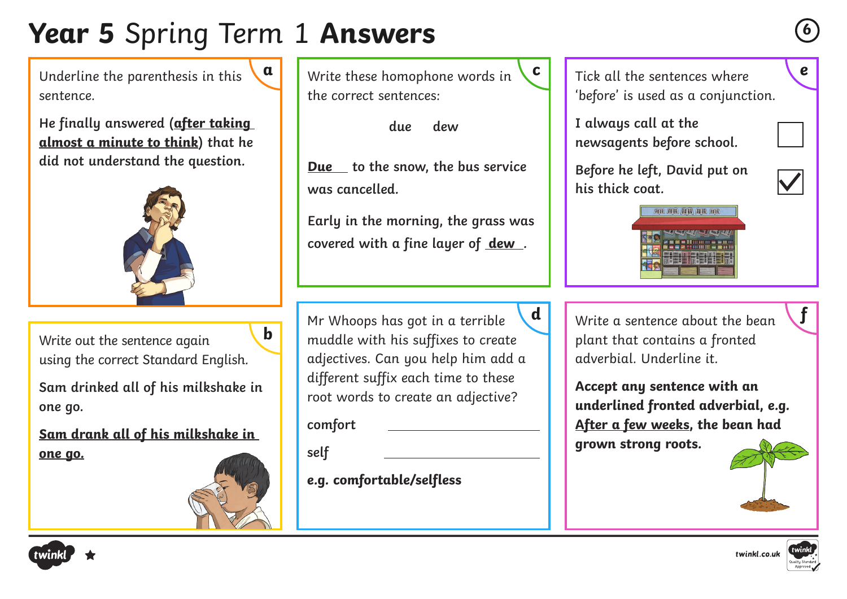# **Year 5** Spring Term 1 **Answers <sup>6</sup>**

Underline the parenthesis in this sentence.

**He finally answered (after taking almost a minute to think) that he did not understand the question.**



Write out the sentence again using the correct Standard English.

**Sam drinked all of his milkshake in one go.**

**Sam drank all of his milkshake in one go.**



**b**

**a** Write these homophone words in **c** Tick all the sentences where **e** the correct sentences:

**due dew**

**Due to the snow, the bus service was cancelled.**

**Early in the morning, the grass was covered with a fine layer of dew .**

Mr Whoops has got in a terrible muddle with his suffixes to create adjectives. Can you help him add a different suffix each time to these root words to create an adjective?

**comfort** 

**self** 

**e.g. comfortable/selfless**

Tick all the sentences where 'before' is used as a conjunction.

I always call at the **newsagents before school.**

**Before he left, David put on his thick coat.**





Write a sentence about the bean **d f** plant that contains a fronted adverbial. Underline it.

> **Accept any sentence with an underlined fronted adverbial, e.g. After a few weeks, the bean had grown strong roots.**





twinkl.co.uk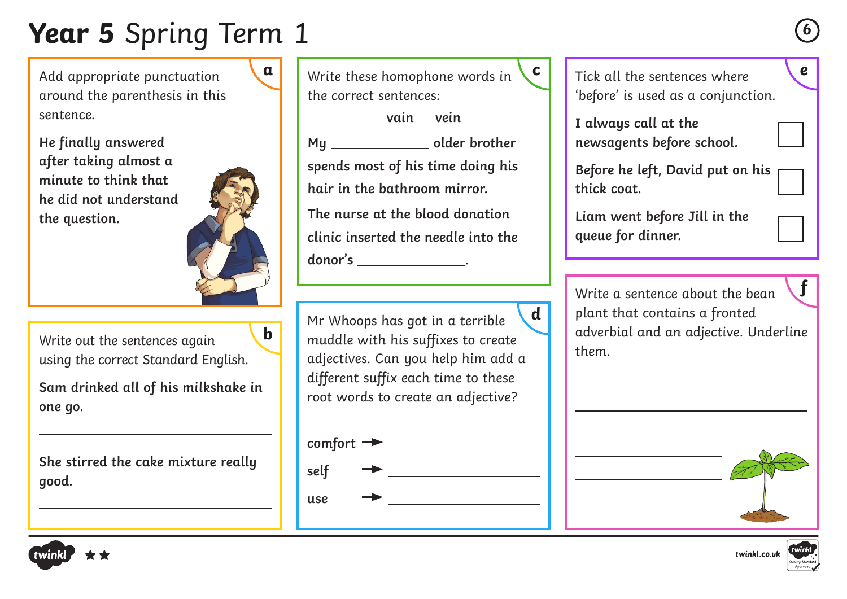# **Year 5** Spring Term 1 **<sup>6</sup>**

Add appropriate punctuation around the parenthesis in this sentence.

**He finally answered after taking almost a minute to think that he did not understand the question.**



**b**

Write out the sentences again using the correct Standard English.

**Sam drinked all of his milkshake in one go.**

**She stirred the cake mixture really good.**

**a** Write these homophone words in **c** Tick all the sentences where **e** the correct sentences:

**vain vein** My \_\_\_\_\_\_\_\_\_\_\_\_\_\_\_\_\_\_ older brother **spends most of his time doing his hair in the bathroom mirror. The nurse at the blood donation clinic inserted the needle into the donor's .**

Mr Whoops has got in a terrible muddle with his suffixes to create adjectives. Can you help him add a different suffix each time to these root words to create an adjective? **d**



Tick all the sentences where 'before' is used as a conjunction.

I always call at the **newsagents before school.**

**Before he left, David put on his thick coat.**

**Liam went before Jill in the queue for dinner.** 

Write a sentence about the bean plant that contains a fronted adverbial and an adjective. Underline them. **f**



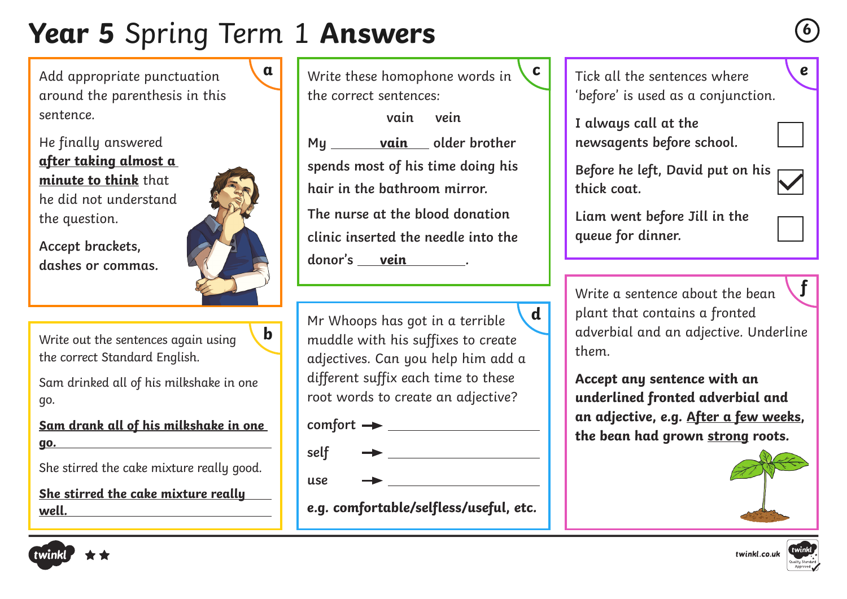## **Year 5** Spring Term 1 **Answers <sup>6</sup>**

Add appropriate punctuation around the parenthesis in this sentence.

He finally answered **after taking almost a minute to think** that he did not understand the question.

**Accept brackets, dashes or commas.**



**b**

Write out the sentences again using the correct Standard English.

Sam drinked all of his milkshake in one go.

**Sam drank all of his milkshake in one go.**

She stirred the cake mixture really good.

**She stirred the cake mixture really well.**



**vain vein My vain older brother spends most of his time doing his hair in the bathroom mirror. The nurse at the blood donation clinic inserted the needle into the** 

**donor's vein .**

Mr Whoops has got in a terrible muddle with his suffixes to create adjectives. Can you help him add a different suffix each time to these root words to create an adjective? **d**

**comfort** 

**self** 

**use** 

**e.g. comfortable/selfless/useful, etc.**

Tick all the sentences where 'before' is used as a conjunction.

I always call at the **newsagents before school.**

**Before he left, David put on his thick coat.**

**Liam went before Jill in the queue for dinner.** 

Write a sentence about the bean plant that contains a fronted adverbial and an adjective. Underline them. **f**

**Accept any sentence with an underlined fronted adverbial and an adjective, e.g. After a few weeks, the bean had grown strong roots.** 







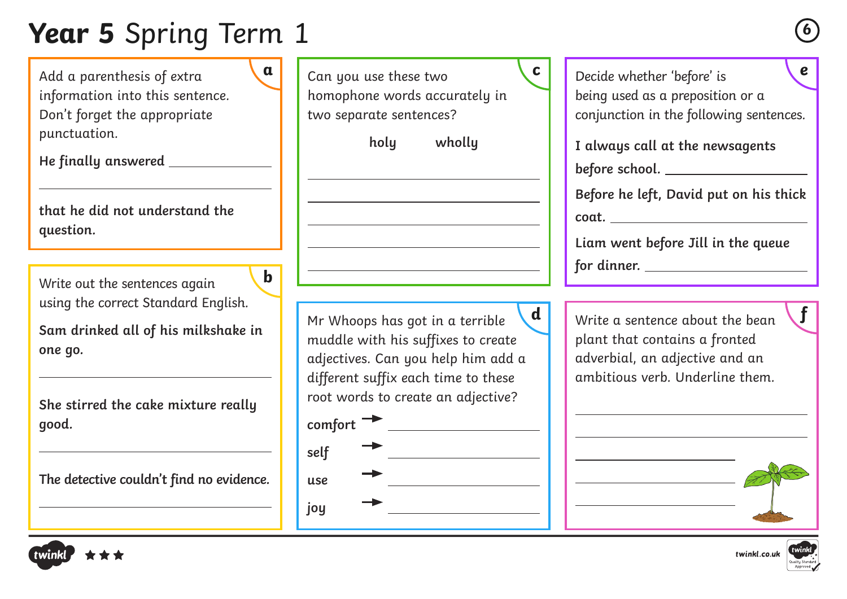# **Year 5** Spring Term 1 **<sup>6</sup>**

Add a parenthesis of extra information into this sentence. Don't forget the appropriate punctuation.

**He finally answered** 

**that he did not understand the question.**

Write out the sentences again using the correct Standard English. **b**

**Sam drinked all of his milkshake in one go.**

**She stirred the cake mixture really good.**

**The detective couldn't find no evidence.**

Can you use these two homophone words accurately in two separate sentences? **holy wholly** Mr Whoops has got in a terrible muddle with his suffixes to create adjectives. Can you help him add a different suffix each time to these root words to create an adjective? **comfort self use joy**  Decide whether 'before' is **a c e**

being used as a preposition or a conjunction in the following sentences.

**I always call at the newsagents before school.** 

**Before he left, David put on his thick coat.** 

**Liam went before Jill in the queue for dinner.** 

 $\mathbf{d}$   $\vert$  Write a sentence about the bean  $\mathbf{f}$ plant that contains a fronted adverbial, an adjective and an ambitious verb. Underline them.